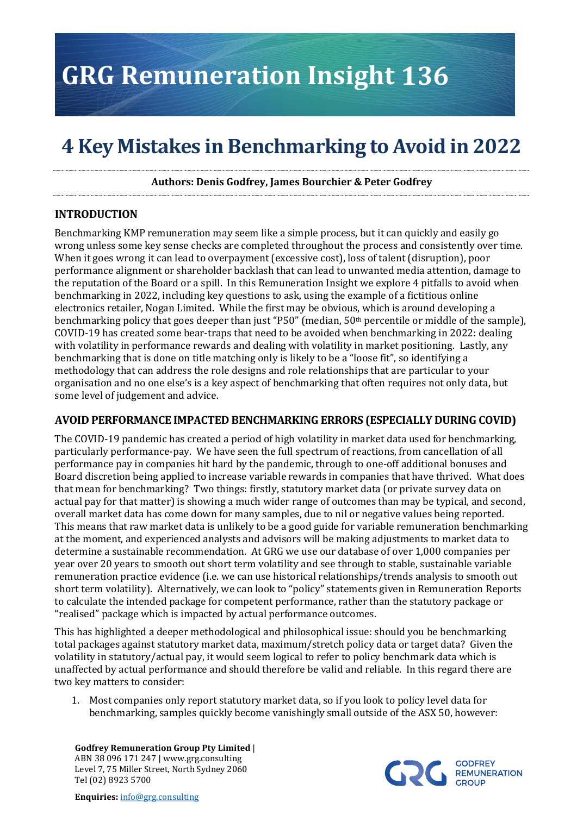# **GRG Remuneration Insight 136**

# **4 Key Mistakes in Benchmarking to Avoid in 2022**

**Authors: Denis Godfrey, James Bourchier & Peter Godfrey**

#### **INTRODUCTION**

Benchmarking KMP remuneration may seem like a simple process, but it can quickly and easily go wrong unless some key sense checks are completed throughout the process and consistently over time. When it goes wrong it can lead to overpayment (excessive cost), loss of talent (disruption), poor performance alignment or shareholder backlash that can lead to unwanted media attention, damage to the reputation of the Board or a spill. In this Remuneration Insight we explore 4 pitfalls to avoid when benchmarking in 2022, including key questions to ask, using the example of a fictitious online electronics retailer, Nogan Limited. While the first may be obvious, which is around developing a benchmarking policy that goes deeper than just "P50" (median, 50th percentile or middle of the sample), COVID-19 has created some bear-traps that need to be avoided when benchmarking in 2022: dealing with volatility in performance rewards and dealing with volatility in market positioning. Lastly, any benchmarking that is done on title matching only is likely to be a "loose fit", so identifying a methodology that can address the role designs and role relationships that are particular to your organisation and no one else's is a key aspect of benchmarking that often requires not only data, but some level of judgement and advice.

#### **AVOID PERFORMANCE IMPACTED BENCHMARKING ERRORS (ESPECIALLY DURING COVID)**

The COVID-19 pandemic has created a period of high volatility in market data used for benchmarking, particularly performance-pay. We have seen the full spectrum of reactions, from cancellation of all performance pay in companies hit hard by the pandemic, through to one-off additional bonuses and Board discretion being applied to increase variable rewards in companies that have thrived. What does that mean for benchmarking? Two things: firstly, statutory market data (or private survey data on actual pay for that matter) is showing a much wider range of outcomes than may be typical, and second, overall market data has come down for many samples, due to nil or negative values being reported. This means that raw market data is unlikely to be a good guide for variable remuneration benchmarking at the moment, and experienced analysts and advisors will be making adjustments to market data to determine a sustainable recommendation. At GRG we use our database of over 1,000 companies per year over 20 years to smooth out short term volatility and see through to stable, sustainable variable remuneration practice evidence (i.e. we can use historical relationships/trends analysis to smooth out short term volatility). Alternatively, we can look to "policy" statements given in Remuneration Reports to calculate the intended package for competent performance, rather than the statutory package or "realised" package which is impacted by actual performance outcomes.

This has highlighted a deeper methodological and philosophical issue: should you be benchmarking total packages against statutory market data, maximum/stretch policy data or target data? Given the volatility in statutory/actual pay, it would seem logical to refer to policy benchmark data which is unaffected by actual performance and should therefore be valid and reliable. In this regard there are two key matters to consider:

1. Most companies only report statutory market data, so if you look to policy level data for benchmarking, samples quickly become vanishingly small outside of the ASX 50, however:

**Godfrey Remuneration Group Pty Limited** | ABN 38 096 171 247 | www.grg.consulting Level 7, 75 Miller Street, North Sydney 2060 Tel (02) 8923 5700

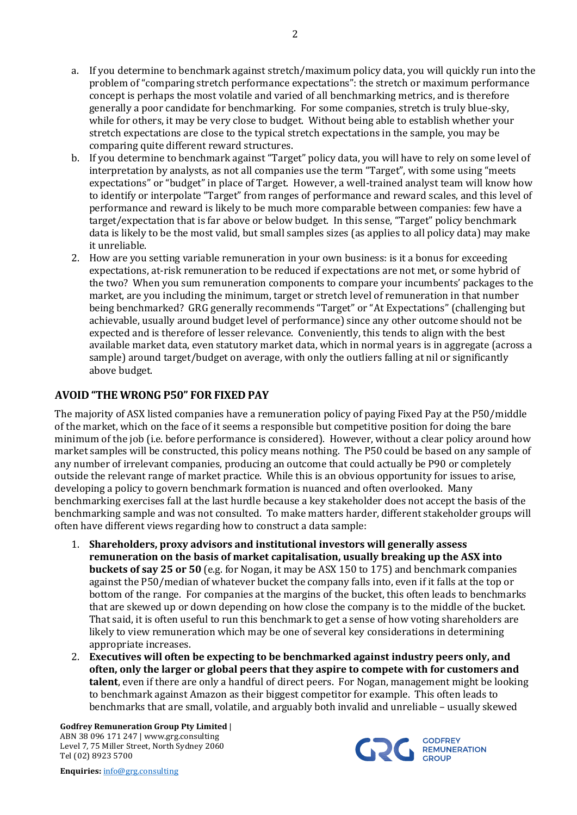- a. If you determine to benchmark against stretch/maximum policy data, you will quickly run into the problem of "comparing stretch performance expectations": the stretch or maximum performance concept is perhaps the most volatile and varied of all benchmarking metrics, and is therefore generally a poor candidate for benchmarking. For some companies, stretch is truly blue-sky, while for others, it may be very close to budget. Without being able to establish whether your stretch expectations are close to the typical stretch expectations in the sample, you may be comparing quite different reward structures.
- b. If you determine to benchmark against "Target" policy data, you will have to rely on some level of interpretation by analysts, as not all companies use the term "Target", with some using "meets expectations" or "budget" in place of Target. However, a well-trained analyst team will know how to identify or interpolate "Target" from ranges of performance and reward scales, and this level of performance and reward is likely to be much more comparable between companies: few have a target/expectation that is far above or below budget. In this sense, "Target" policy benchmark data is likely to be the most valid, but small samples sizes (as applies to all policy data) may make it unreliable.
- 2. How are you setting variable remuneration in your own business: is it a bonus for exceeding expectations, at-risk remuneration to be reduced if expectations are not met, or some hybrid of the two? When you sum remuneration components to compare your incumbents' packages to the market, are you including the minimum, target or stretch level of remuneration in that number being benchmarked? GRG generally recommends "Target" or "At Expectations" (challenging but achievable, usually around budget level of performance) since any other outcome should not be expected and is therefore of lesser relevance. Conveniently, this tends to align with the best available market data, even statutory market data, which in normal years is in aggregate (across a sample) around target/budget on average, with only the outliers falling at nil or significantly above budget.

#### **AVOID "THE WRONG P50" FOR FIXED PAY**

The majority of ASX listed companies have a remuneration policy of paying Fixed Pay at the P50/middle of the market, which on the face of it seems a responsible but competitive position for doing the bare minimum of the job (i.e. before performance is considered). However, without a clear policy around how market samples will be constructed, this policy means nothing. The P50 could be based on any sample of any number of irrelevant companies, producing an outcome that could actually be P90 or completely outside the relevant range of market practice. While this is an obvious opportunity for issues to arise, developing a policy to govern benchmark formation is nuanced and often overlooked. Many benchmarking exercises fall at the last hurdle because a key stakeholder does not accept the basis of the benchmarking sample and was not consulted. To make matters harder, different stakeholder groups will often have different views regarding how to construct a data sample:

- 1. **Shareholders, proxy advisors and institutional investors will generally assess remuneration on the basis of market capitalisation, usually breaking up the ASX into buckets of say 25 or 50** (e.g. for Nogan, it may be ASX 150 to 175) and benchmark companies against the P50/median of whatever bucket the company falls into, even if it falls at the top or bottom of the range. For companies at the margins of the bucket, this often leads to benchmarks that are skewed up or down depending on how close the company is to the middle of the bucket. That said, it is often useful to run this benchmark to get a sense of how voting shareholders are likely to view remuneration which may be one of several key considerations in determining appropriate increases.
- 2. **Executives will often be expecting to be benchmarked against industry peers only, and often, only the larger or global peers that they aspire to compete with for customers and talent**, even if there are only a handful of direct peers. For Nogan, management might be looking to benchmark against Amazon as their biggest competitor for example. This often leads to benchmarks that are small, volatile, and arguably both invalid and unreliable – usually skewed

**Godfrey Remuneration Group Pty Limited** | ABN 38 096 171 247 | www.grg.consulting Level 7, 75 Miller Street, North Sydney 2060 Tel (02) 8923 5700

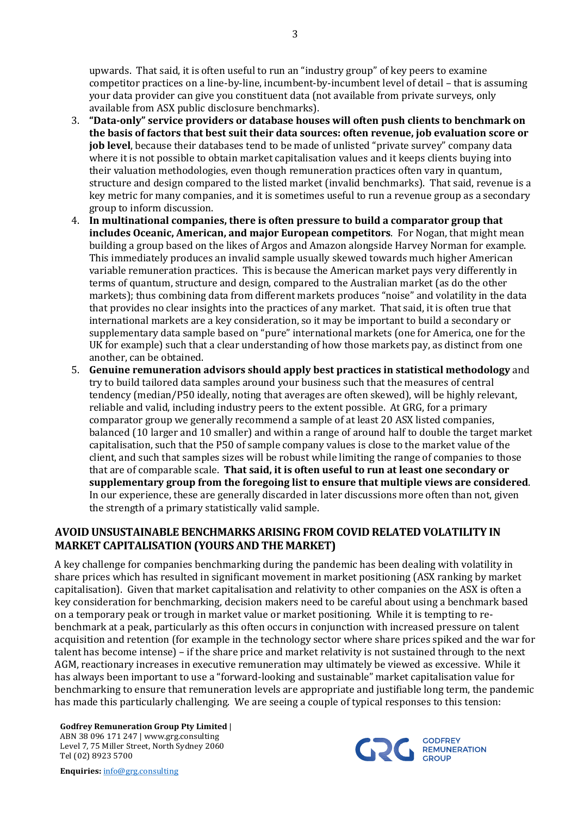upwards. That said, it is often useful to run an "industry group" of key peers to examine competitor practices on a line-by-line, incumbent-by-incumbent level of detail – that is assuming your data provider can give you constituent data (not available from private surveys, only available from ASX public disclosure benchmarks).

- 3. **"Data-only" service providers or database houses will often push clients to benchmark on the basis of factors that best suit their data sources: often revenue, job evaluation score or job level**, because their databases tend to be made of unlisted "private survey" company data where it is not possible to obtain market capitalisation values and it keeps clients buying into their valuation methodologies, even though remuneration practices often vary in quantum, structure and design compared to the listed market (invalid benchmarks). That said, revenue is a key metric for many companies, and it is sometimes useful to run a revenue group as a secondary group to inform discussion.
- 4. **In multinational companies, there is often pressure to build a comparator group that includes Oceanic, American, and major European competitors**. For Nogan, that might mean building a group based on the likes of Argos and Amazon alongside Harvey Norman for example. This immediately produces an invalid sample usually skewed towards much higher American variable remuneration practices. This is because the American market pays very differently in terms of quantum, structure and design, compared to the Australian market (as do the other markets); thus combining data from different markets produces "noise" and volatility in the data that provides no clear insights into the practices of any market. That said, it is often true that international markets are a key consideration, so it may be important to build a secondary or supplementary data sample based on "pure" international markets (one for America, one for the UK for example) such that a clear understanding of how those markets pay, as distinct from one another, can be obtained.
- 5. **Genuine remuneration advisors should apply best practices in statistical methodology** and try to build tailored data samples around your business such that the measures of central tendency (median/P50 ideally, noting that averages are often skewed), will be highly relevant, reliable and valid, including industry peers to the extent possible. At GRG, for a primary comparator group we generally recommend a sample of at least 20 ASX listed companies, balanced (10 larger and 10 smaller) and within a range of around half to double the target market capitalisation, such that the P50 of sample company values is close to the market value of the client, and such that samples sizes will be robust while limiting the range of companies to those that are of comparable scale. **That said, it is often useful to run at least one secondary or supplementary group from the foregoing list to ensure that multiple views are considered**. In our experience, these are generally discarded in later discussions more often than not, given the strength of a primary statistically valid sample.

## **AVOID UNSUSTAINABLE BENCHMARKS ARISING FROM COVID RELATED VOLATILITY IN MARKET CAPITALISATION (YOURS AND THE MARKET)**

A key challenge for companies benchmarking during the pandemic has been dealing with volatility in share prices which has resulted in significant movement in market positioning (ASX ranking by market capitalisation). Given that market capitalisation and relativity to other companies on the ASX is often a key consideration for benchmarking, decision makers need to be careful about using a benchmark based on a temporary peak or trough in market value or market positioning. While it is tempting to rebenchmark at a peak, particularly as this often occurs in conjunction with increased pressure on talent acquisition and retention (for example in the technology sector where share prices spiked and the war for talent has become intense) – if the share price and market relativity is not sustained through to the next AGM, reactionary increases in executive remuneration may ultimately be viewed as excessive. While it has always been important to use a "forward-looking and sustainable" market capitalisation value for benchmarking to ensure that remuneration levels are appropriate and justifiable long term, the pandemic has made this particularly challenging. We are seeing a couple of typical responses to this tension:

**Godfrey Remuneration Group Pty Limited** | ABN 38 096 171 247 | www.grg.consulting Level 7, 75 Miller Street, North Sydney 2060 Tel (02) 8923 5700



**Enquiries:** info@grg.consulting